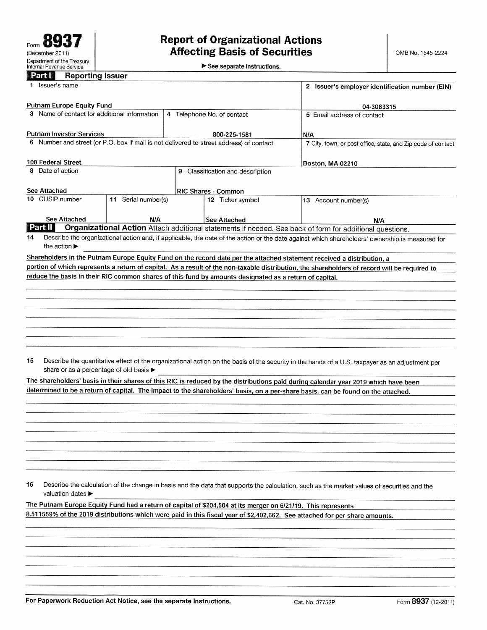See separate instructions.

| Department of the Treasury<br>Internal Revenue Service |                         |  |
|--------------------------------------------------------|-------------------------|--|
| Part I                                                 | <b>Reporting Issuer</b> |  |

|    | <u>La Igre</u><br><b>Reporting Issuer</b>                                                                                                   |                     |   |                                                                                                              |                                                                                                                                                 |  |  |
|----|---------------------------------------------------------------------------------------------------------------------------------------------|---------------------|---|--------------------------------------------------------------------------------------------------------------|-------------------------------------------------------------------------------------------------------------------------------------------------|--|--|
|    | 1 Issuer's name                                                                                                                             |                     |   | 2 Issuer's employer identification number (EIN)                                                              |                                                                                                                                                 |  |  |
|    | <b>Putnam Europe Equity Fund</b>                                                                                                            |                     |   |                                                                                                              | 04-3083315                                                                                                                                      |  |  |
|    | 3 Name of contact for additional information                                                                                                |                     |   | 4 Telephone No. of contact                                                                                   | 5 Email address of contact                                                                                                                      |  |  |
|    |                                                                                                                                             |                     |   |                                                                                                              |                                                                                                                                                 |  |  |
|    | <b>Putnam Investor Services</b>                                                                                                             |                     |   | 800-225-1581                                                                                                 | N/A                                                                                                                                             |  |  |
|    |                                                                                                                                             |                     |   | 6 Number and street (or P.O. box if mail is not delivered to street address) of contact                      | 7 City, town, or post office, state, and Zip code of contact                                                                                    |  |  |
|    |                                                                                                                                             |                     |   |                                                                                                              |                                                                                                                                                 |  |  |
|    | 100 Federal Street                                                                                                                          |                     |   |                                                                                                              | Boston, MA 02210                                                                                                                                |  |  |
|    | 8 Date of action                                                                                                                            |                     | 9 | Classification and description                                                                               |                                                                                                                                                 |  |  |
|    |                                                                                                                                             |                     |   |                                                                                                              |                                                                                                                                                 |  |  |
|    | See Attached                                                                                                                                |                     |   | RIC Shares - Common                                                                                          |                                                                                                                                                 |  |  |
|    | 10 CUSIP number                                                                                                                             | 11 Serial number(s) |   | 12 Ticker symbol                                                                                             | 13 Account number(s)                                                                                                                            |  |  |
|    |                                                                                                                                             |                     |   |                                                                                                              |                                                                                                                                                 |  |  |
|    | <b>See Attached</b>                                                                                                                         | N/A                 |   | See Attached                                                                                                 | N/A                                                                                                                                             |  |  |
|    | Part II                                                                                                                                     |                     |   |                                                                                                              | Organizational Action Attach additional statements if needed. See back of form for additional questions.                                        |  |  |
| 14 | the action $\blacktriangleright$                                                                                                            |                     |   |                                                                                                              | Describe the organizational action and, if applicable, the date of the action or the date against which shareholders' ownership is measured for |  |  |
|    |                                                                                                                                             |                     |   |                                                                                                              | Shareholders in the Putnam Europe Equity Fund on the record date per the attached statement received a distribution, a                          |  |  |
|    |                                                                                                                                             |                     |   |                                                                                                              | portion of which represents a return of capital. As a result of the non-taxable distribution, the shareholders of record will be required to    |  |  |
|    |                                                                                                                                             |                     |   | reduce the basis in their RIC common shares of this fund by amounts designated as a return of capital.       |                                                                                                                                                 |  |  |
|    |                                                                                                                                             |                     |   |                                                                                                              |                                                                                                                                                 |  |  |
|    |                                                                                                                                             |                     |   |                                                                                                              |                                                                                                                                                 |  |  |
|    |                                                                                                                                             |                     |   |                                                                                                              |                                                                                                                                                 |  |  |
|    |                                                                                                                                             |                     |   |                                                                                                              |                                                                                                                                                 |  |  |
|    |                                                                                                                                             |                     |   |                                                                                                              |                                                                                                                                                 |  |  |
|    |                                                                                                                                             |                     |   |                                                                                                              |                                                                                                                                                 |  |  |
|    |                                                                                                                                             |                     |   |                                                                                                              |                                                                                                                                                 |  |  |
|    |                                                                                                                                             |                     |   |                                                                                                              |                                                                                                                                                 |  |  |
| 15 |                                                                                                                                             |                     |   |                                                                                                              | Describe the quantitative effect of the organizational action on the basis of the security in the hands of a U.S. taxpayer as an adjustment per |  |  |
|    | share or as a percentage of old basis ▶                                                                                                     |                     |   |                                                                                                              |                                                                                                                                                 |  |  |
|    |                                                                                                                                             |                     |   |                                                                                                              |                                                                                                                                                 |  |  |
|    |                                                                                                                                             |                     |   |                                                                                                              | The shareholders' basis in their shares of this RIC is reduced by the distributions paid during calendar year 2019 which have been              |  |  |
|    |                                                                                                                                             |                     |   |                                                                                                              | determined to be a return of capital. The impact to the shareholders' basis, on a per-share basis, can be found on the attached.                |  |  |
|    |                                                                                                                                             |                     |   |                                                                                                              |                                                                                                                                                 |  |  |
|    |                                                                                                                                             |                     |   |                                                                                                              |                                                                                                                                                 |  |  |
|    |                                                                                                                                             |                     |   |                                                                                                              |                                                                                                                                                 |  |  |
|    |                                                                                                                                             |                     |   |                                                                                                              |                                                                                                                                                 |  |  |
|    |                                                                                                                                             |                     |   |                                                                                                              |                                                                                                                                                 |  |  |
|    |                                                                                                                                             |                     |   |                                                                                                              |                                                                                                                                                 |  |  |
|    |                                                                                                                                             |                     |   |                                                                                                              |                                                                                                                                                 |  |  |
|    |                                                                                                                                             |                     |   |                                                                                                              |                                                                                                                                                 |  |  |
|    |                                                                                                                                             |                     |   |                                                                                                              |                                                                                                                                                 |  |  |
| 16 | Describe the calculation of the change in basis and the data that supports the calculation, such as the market values of securities and the |                     |   |                                                                                                              |                                                                                                                                                 |  |  |
|    | valuation dates ▶                                                                                                                           |                     |   |                                                                                                              |                                                                                                                                                 |  |  |
|    |                                                                                                                                             |                     |   | The Putnam Europe Equity Fund had a return of capital of \$204,504 at its merger on 6/21/19. This represents |                                                                                                                                                 |  |  |

8.511559% of the 2079 distributions which were paid in this fiscal year of \$2,402,662. See attached for per share amounts.